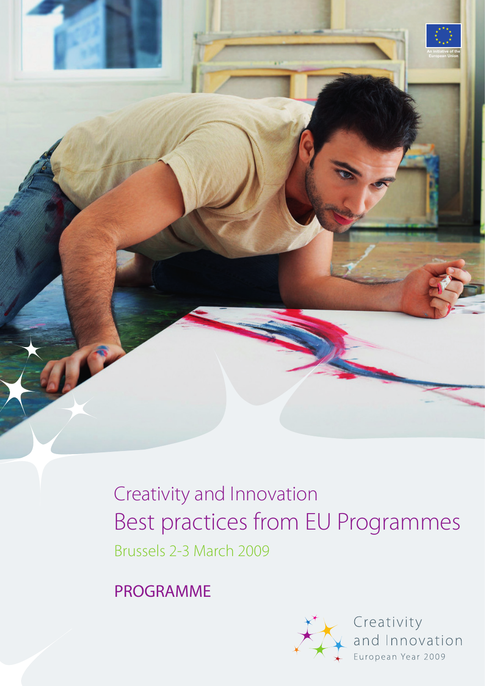

Creativity and Innovation Best practices from EU Programmes Brussels 2-3 March 2009

PROGRAMME



Creativity and Innovation European Year 2009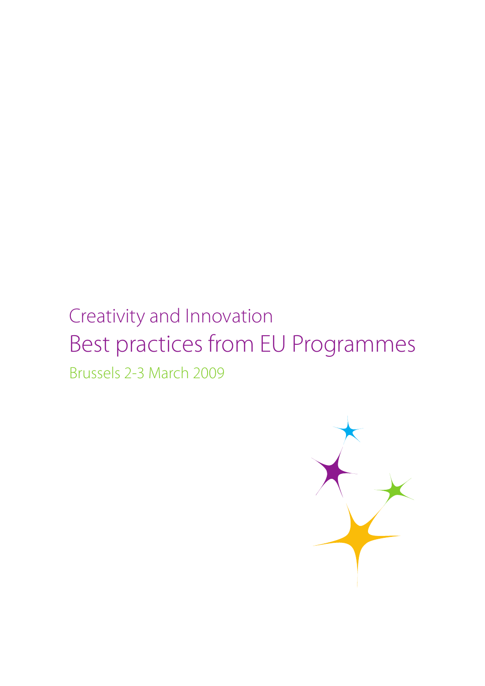# Creativity and Innovation Best practices from EU Programmes

Brussels 2-3 March 2009

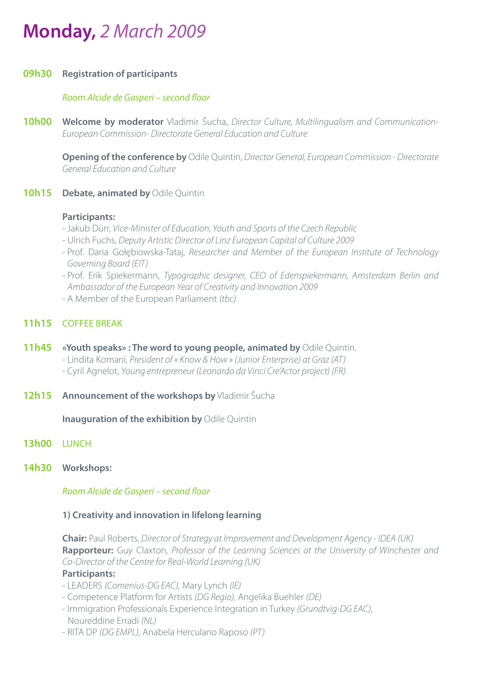# **Monday,** 2 March 2009

#### **09h30 Registration of participants**

#### Room Alcide de Gasperi – second floor

**10h00 Welcome by moderator** Vladimir Šucha, Director Culture, Multilingualism and Communication-European Commission- Directorate General Education and Culture

 **Opening of the conference by** Odile Quintin, Director General, European Commission - Directorate General Education and Culture

**10h15 Debate, animated by Odile Quintin** 

#### **Participants:**

- Jakub Dürr, Vice-Minister of Education, Youth and Sports of the Czech Republic
- Ulrich Fuchs, Deputy Artistic Director of Linz European Capital of Culture 2009
- Prof. Daria Gołębiowska-Tataj, Researcher and Member of the European Institute of Technology Governing Board (EIT)
- Prof. Erik Spiekermann, Typographic designer, CEO of Edenspiekermann, Amsterdam Berlin and Ambassador of the European Year of Creativity and Innovation 2009
- A Member of the European Parliament (tbc)

# **11h15** COFFEE BREAK

- **11h45 «Youth speaks» : The word to young people, animated by** Odile Quintin. - Lindita Komani, President of « Know & How » (Junior Enterprise) at Graz (AT) - Cyril Agnelot, Young entrepreneur (Leonardo da Vinci Cre'Actor project) (FR)
- **12h15 Announcement of the workshops by** Vladimir Šucha

**Inauguration of the exhibition by Odile Quintin** 

- **13h00** LUNCH
- **14h30 Workshops:**

Room Alcide de Gasperi – second floor

#### **1) Creativity and innovation in lifelong learning**

**Chair:** Paul Roberts, Director of Strategy at Improvement and Development Agency - IDEA (UK)  **Rapporteur:** Guy Claxton, Professor of the Learning Sciences at the University of Winchester and Co-Director of the Centre for Real-World Learning (UK)

#### **Participants:**

- LEADERS (Comenius-DG EAC), Mary Lynch (IE)
- Competence Platform for Artists (DG Regio), Angelika Buehler (DE)
- Immigration Professionals Experience Integration in Turkey (Grundtvig-DG EAC), Noureddine Erradi (NL)
- RITA DP (DG EMPL), Anabela Herculano Raposo (PT)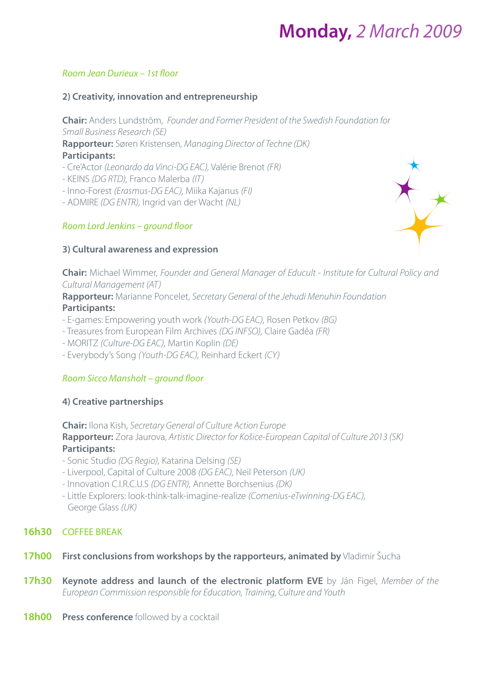# **Monday,** 2 March 2009

### Room Jean Durieux – 1st floor

### **2) Creativity, innovation and entrepreneurship**

 **Chair:** Anders Lundström, Founder and Former President of the Swedish Foundation for Small Business Research (SE)

**Rapporteur:** Søren Kristensen, Managing Director of Techne (DK) **Participants:** 

- Cre'Actor (Leonardo da Vinci-DG EAC), Valérie Brenot (FR)
- KEINS (DG RTD), Franco Malerba (IT)
- Inno-Forest (Erasmus-DG EAC), Miika Kajanus (FI)
- ADMIRE (DG ENTR), Ingrid van der Wacht (NL)

# Room Lord Jenkins – ground floor

# **3) Cultural awareness and expression**



 **Chair:** Michael Wimmer, Founder and General Manager of Educult - Institute for Cultural Policy and Cultural Management (AT)

**Rapporteur:** Marianne Poncelet, Secretary General of the Jehudi Menuhin Foundation

### **Participants:**

- E-games: Empowering youth work (Youth-DG EAC), Rosen Petkov (BG)
- Treasures from European Film Archives (DG INFSO), Claire Gadéa (FR)
- MORITZ (Culture-DG EAC), Martin Koplin (DE)
- Everybody's Song (Youth-DG EAC), Reinhard Eckert (CY)

# Room Sicco Mansholt – ground floor

### **4) Creative partnerships**

**Chair:** Ilona Kish, Secretary General of Culture Action Europe **Rapporteur:** Zora Jaurova, Artistic Director for Košice-European Capital of Culture 2013 (SK) **Participants:** 

- Sonic Studio (DG Regio), Katarina Delsing (SE)
- Liverpool, Capital of Culture 2008 (DG EAC), Neil Peterson (UK)
- Innovation C.I.R.C.U.S (DG ENTR), Annette Borchsenius (DK)
- Little Explorers: look-think-talk-imagine-realize (Comenius-eTwinning-DG EAC), George Glass (UK)

# **16h30** COFFEE BREAK

- **17h00 First conclusions from workshops by the rapporteurs, animated by Vladimir Šucha**
- **17h30 Keynote address and launch of the electronic platform EVE** by Ján Figel, Member of the European Commission responsible for Education, Training, Culture and Youth
- **18h00 Press conference** followed by a cocktail